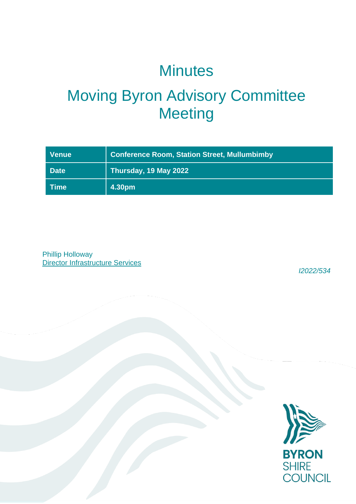## **Minutes**

# Moving Byron Advisory Committee **Meeting**

| <b>Venue</b> | <b>Conference Room, Station Street, Mullumbimby</b> |
|--------------|-----------------------------------------------------|
| <b>Date</b>  | Thursday, 19 May 2022                               |
| <b>Time</b>  | 4.30pm                                              |

Phillip Holloway Director Infrastructure Services

*I2022/534*

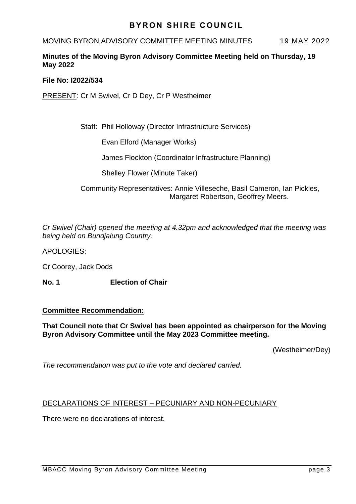## **BYRON SHIRE COUNCIL**

### MOVING BYRON ADVISORY COMMITTEE MEETING MINUTES 19 MAY 2022

## **Minutes of the Moving Byron Advisory Committee Meeting held on Thursday, 19 May 2022**

#### **File No: I2022/534**

PRESENT: Cr M Swivel, Cr D Dey, Cr P Westheimer

Staff: Phil Holloway (Director Infrastructure Services)

Evan Elford (Manager Works)

James Flockton (Coordinator Infrastructure Planning)

Shelley Flower (Minute Taker)

Community Representatives: Annie Villeseche, Basil Cameron, Ian Pickles, Margaret Robertson, Geoffrey Meers.

*Cr Swivel (Chair) opened the meeting at 4.32pm and acknowledged that the meeting was being held on Bundjalung Country.*

APOLOGIES:

Cr Coorey, Jack Dods

**No. 1 Election of Chair**

#### **Committee Recommendation:**

#### **That Council note that Cr Swivel has been appointed as chairperson for the Moving Byron Advisory Committee until the May 2023 Committee meeting.**

(Westheimer/Dey)

*The recommendation was put to the vote and declared carried.*

#### DECLARATIONS OF INTEREST – PECUNIARY AND NON-PECUNIARY

There were no declarations of interest.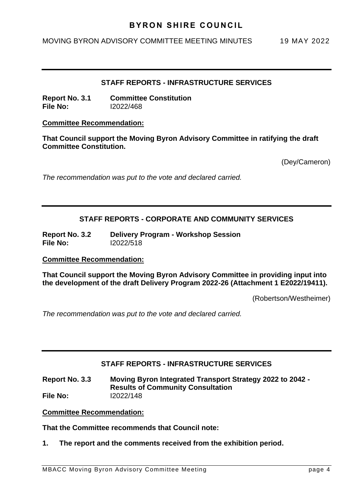## **BYRON SHIRE COUNCIL**

MOVING BYRON ADVISORY COMMITTEE MEETING MINUTES 19 MAY 2022

#### **STAFF REPORTS - INFRASTRUCTURE SERVICES**

**Report No. 3.1 Committee Constitution File No:** I2022/468

#### **Committee Recommendation:**

**That Council support the Moving Byron Advisory Committee in ratifying the draft Committee Constitution.**

(Dey/Cameron)

*The recommendation was put to the vote and declared carried.*

#### **STAFF REPORTS - CORPORATE AND COMMUNITY SERVICES**

**Report No. 3.2 Delivery Program - Workshop Session File No:** I2022/518

**Committee Recommendation:** 

**That Council support the Moving Byron Advisory Committee in providing input into the development of the draft Delivery Program 2022-26 (Attachment 1 E2022/19411).**

(Robertson/Westheimer)

*The recommendation was put to the vote and declared carried.*

### **STAFF REPORTS - INFRASTRUCTURE SERVICES**

**Report No. 3.3 Moving Byron Integrated Transport Strategy 2022 to 2042 - Results of Community Consultation File No:** I2022/148

**Committee Recommendation:** 

**That the Committee recommends that Council note:**

**1. The report and the comments received from the exhibition period.**